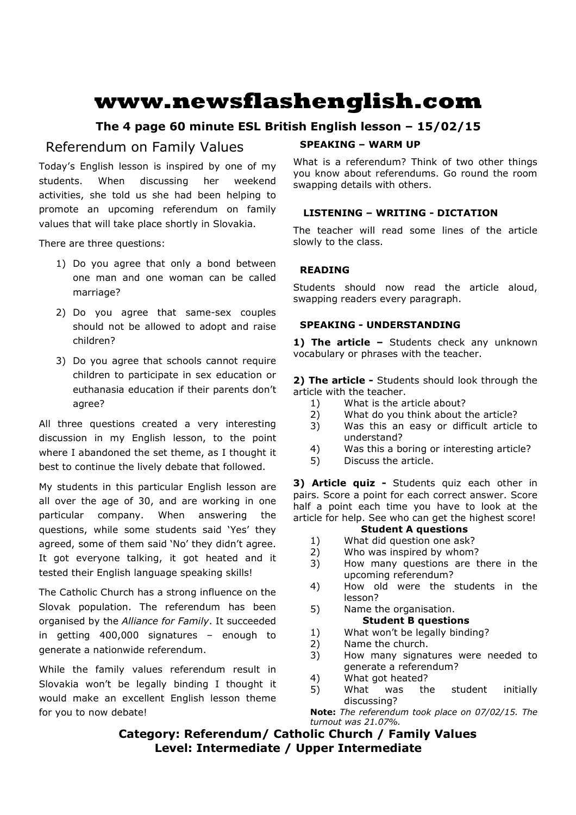# **www.newsflashenglish.com**

## **The 4 page 60 minute ESL British English lesson – 15/02/15**

## Referendum on Family Values

Today's English lesson is inspired by one of my students. When discussing her weekend activities, she told us she had been helping to promote an upcoming referendum on family values that will take place shortly in Slovakia.

There are three questions:

- 1) Do you agree that only a bond between one man and one woman can be called marriage?
- 2) Do you agree that same-sex couples should not be allowed to adopt and raise children?
- 3) Do you agree that schools cannot require children to participate in sex education or euthanasia education if their parents don't agree?

All three questions created a very interesting discussion in my English lesson, to the point where I abandoned the set theme, as I thought it best to continue the lively debate that followed.

My students in this particular English lesson are all over the age of 30, and are working in one particular company. When answering the questions, while some students said 'Yes' they agreed, some of them said 'No' they didn't agree. It got everyone talking, it got heated and it tested their English language speaking skills!

The Catholic Church has a strong influence on the Slovak population. The referendum has been organised by the *Alliance for Family*. It succeeded in getting 400,000 signatures – enough to generate a nationwide referendum.

While the family values referendum result in Slovakia won't be legally binding I thought it would make an excellent English lesson theme for you to now debate!

## **SPEAKING – WARM UP**

What is a referendum? Think of two other things you know about referendums. Go round the room swapping details with others.

## **LISTENING – WRITING - DICTATION**

The teacher will read some lines of the article slowly to the class.

## **READING**

Students should now read the article aloud, swapping readers every paragraph.

## **SPEAKING - UNDERSTANDING**

1) The article - Students check any unknown vocabulary or phrases with the teacher.

**2) The article -** Students should look through the article with the teacher.

- 1) What is the article about?
- 2) What do you think about the article?
- 3) Was this an easy or difficult article to understand?
- 4) Was this a boring or interesting article?
- 5) Discuss the article.

**3) Article quiz -** Students quiz each other in pairs. Score a point for each correct answer. Score half a point each time you have to look at the article for help. See who can get the highest score!

## **Student A questions**

- 1) What did question one ask?
- 2) Who was inspired by whom?
- 3) How many questions are there in the upcoming referendum?
- 4) How old were the students in the lesson?
- 5) Name the organisation. **Student B questions**
- 1) What won't be legally binding?
- 2) Name the church.
- 3) How many signatures were needed to generate a referendum?
- 4) What got heated?
- 5) What was the student initially discussing?

**Note:** *The referendum took place on 07/02/15. The turnout was 21.07%.*

## **Category: Referendum/ Catholic Church / Family Values Level: Intermediate / Upper Intermediate**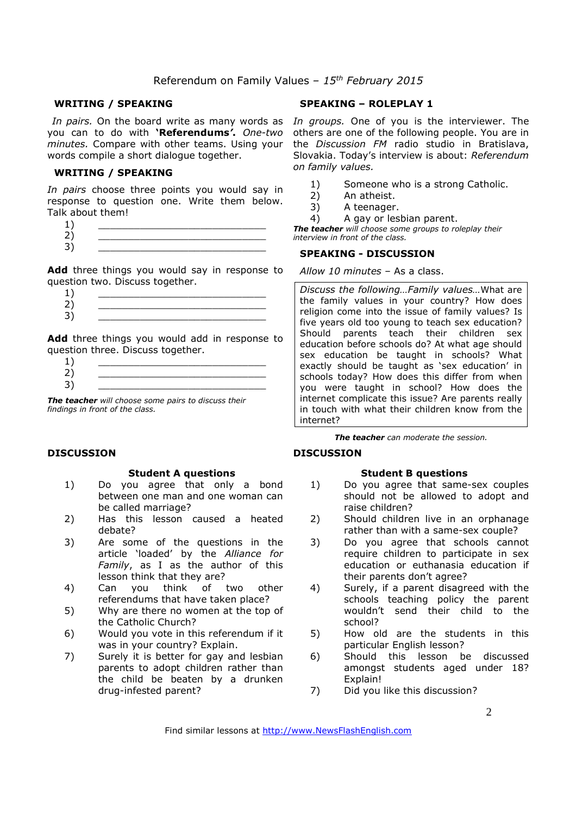## **WRITING / SPEAKING**

*In pairs.* On the board write as many words as you can to do with **'Referendums***'***.** *One-two minutes.* Compare with other teams. Using your words compile a short dialogue together.

### **WRITING / SPEAKING**

*In pairs* choose three points you would say in response to question one. Write them below. Talk about them!

- $1)$   $\qquad \qquad$
- 2) \_\_\_\_\_\_\_\_\_\_\_\_\_\_\_\_\_\_\_\_\_\_\_\_\_\_\_\_
- 3) \_\_\_\_\_\_\_\_\_\_\_\_\_\_\_\_\_\_\_\_\_\_\_\_\_\_\_\_

Add three things you would say in response to question two. Discuss together.

- $1)$   $\qquad \qquad$ 2) \_\_\_\_\_\_\_\_\_\_\_\_\_\_\_\_\_\_\_\_\_\_\_\_\_\_\_\_
- 3) \_\_\_\_\_\_\_\_\_\_\_\_\_\_\_\_\_\_\_\_\_\_\_\_\_\_\_\_

**Add** three things you would add in response to question three. Discuss together.

*The teacher will choose some pairs to discuss their findings in front of the class.* 

## **DISCUSSION**

#### **Student A questions**

- 1) Do you agree that only a bond between one man and one woman can be called marriage?
- 2) Has this lesson caused a heated debate?
- 3) Are some of the questions in the article 'loaded' by the *Alliance for Family*, as I as the author of this lesson think that they are?
- 4) Can you think of two other referendums that have taken place?
- 5) Why are there no women at the top of the Catholic Church?
- 6) Would you vote in this referendum if it was in your country? Explain.
- 7) Surely it is better for gay and lesbian parents to adopt children rather than the child be beaten by a drunken drug-infested parent?

## **SPEAKING – ROLEPLAY 1**

*In groups.* One of you is the interviewer. The others are one of the following people. You are in the *Discussion FM* radio studio in Bratislava, Slovakia. Today's interview is about: *Referendum on family values.*

- 1) Someone who is a strong Catholic.
- 2) An atheist.
- 3) A teenager.
- 4) A gay or lesbian parent.

*The teacher will choose some groups to roleplay their interview in front of the class.* 

### **SPEAKING - DISCUSSION**

## *Allow 10 minutes* – As a class.

*Discuss the following…Family values…*What are the family values in your country? How does religion come into the issue of family values? Is five years old too young to teach sex education? Should parents teach their children sex education before schools do? At what age should sex education be taught in schools? What exactly should be taught as 'sex education' in schools today? How does this differ from when you were taught in school? How does the internet complicate this issue? Are parents really in touch with what their children know from the internet?

*The teacher can moderate the session.*

## **DISCUSSION**

## **Student B questions**

- 1) Do you agree that same-sex couples should not be allowed to adopt and raise children?
- 2) Should children live in an orphanage rather than with a same-sex couple?
- 3) Do you agree that schools cannot require children to participate in sex education or euthanasia education if their parents don't agree?
- 4) Surely, if a parent disagreed with the schools teaching policy the parent wouldn't send their child to the school?
- 5) How old are the students in this particular English lesson?
- 6) Should this lesson be discussed amongst students aged under 18? Explain!
- 7) Did you like this discussion?

Find similar lessons at http://www.NewsFlashEnglish.com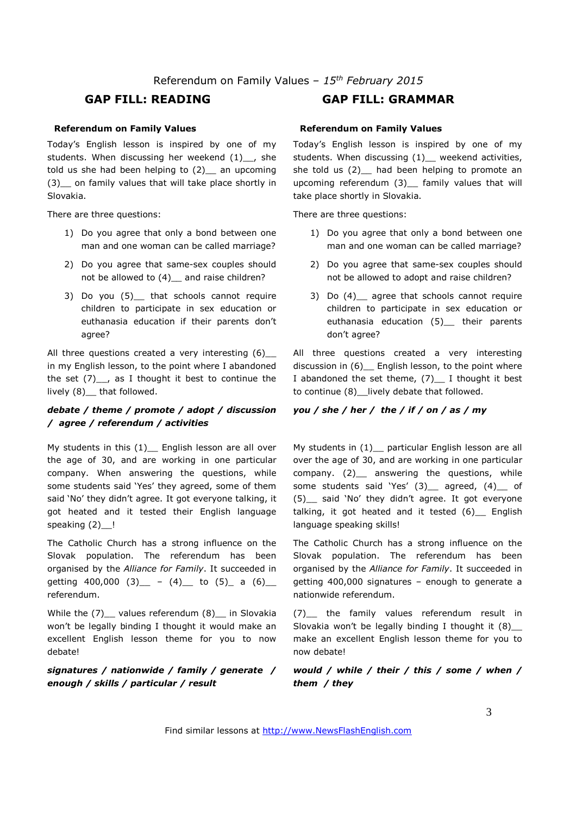## **GAP FILL: READING GAP FILL: GRAMMAR**

## **Referendum on Family Values**

Today's English lesson is inspired by one of my students. When discussing her weekend (1) , she told us she had been helping to  $(2)$  an upcoming (3)\_\_ on family values that will take place shortly in Slovakia.

There are three questions:

- 1) Do you agree that only a bond between one man and one woman can be called marriage?
- 2) Do you agree that same-sex couples should not be allowed to (4) and raise children?
- 3) Do you (5) that schools cannot require children to participate in sex education or euthanasia education if their parents don't agree?

All three questions created a very interesting (6) in my English lesson, to the point where I abandoned the set  $(7)$ <sub>--</sub>, as I thought it best to continue the lively (8)\_\_ that followed.

## *debate / theme / promote / adopt / discussion / agree / referendum / activities*

My students in this  $(1)$  English lesson are all over the age of 30, and are working in one particular company. When answering the questions, while some students said 'Yes' they agreed, some of them said 'No' they didn't agree. It got everyone talking, it got heated and it tested their English language speaking (2)\_!

The Catholic Church has a strong influence on the Slovak population. The referendum has been organised by the *Alliance for Family*. It succeeded in getting 400,000 (3)  $-$  (4) to (5) a (6) referendum.

While the (7) values referendum (8) in Slovakia won't be legally binding I thought it would make an excellent English lesson theme for you to now debate!

*signatures / nationwide / family / generate / enough / skills / particular / result* 

## **Referendum on Family Values**

Today's English lesson is inspired by one of my students. When discussing (1) weekend activities, she told us  $(2)$  had been helping to promote an upcoming referendum (3)\_ family values that will take place shortly in Slovakia.

There are three questions:

- 1) Do you agree that only a bond between one man and one woman can be called marriage?
- 2) Do you agree that same-sex couples should not be allowed to adopt and raise children?
- 3) Do (4) agree that schools cannot require children to participate in sex education or euthanasia education (5)\_\_ their parents don't agree?

All three questions created a very interesting discussion in (6) English lesson, to the point where I abandoned the set theme,  $(7)$  I thought it best to continue (8) lively debate that followed.

## *you / she / her / the / if / on / as / my*

My students in  $(1)$  particular English lesson are all over the age of 30, and are working in one particular company. (2)\_ answering the questions, while some students said 'Yes' (3) agreed, (4) of (5)\_\_ said 'No' they didn't agree. It got everyone talking, it got heated and it tested  $(6)$  English language speaking skills!

The Catholic Church has a strong influence on the Slovak population. The referendum has been organised by the *Alliance for Family*. It succeeded in getting 400,000 signatures – enough to generate a nationwide referendum.

(7)\_\_ the family values referendum result in Slovakia won't be legally binding I thought it  $(8)$ make an excellent English lesson theme for you to now debate!

*would / while / their / this / some / when / them / they*